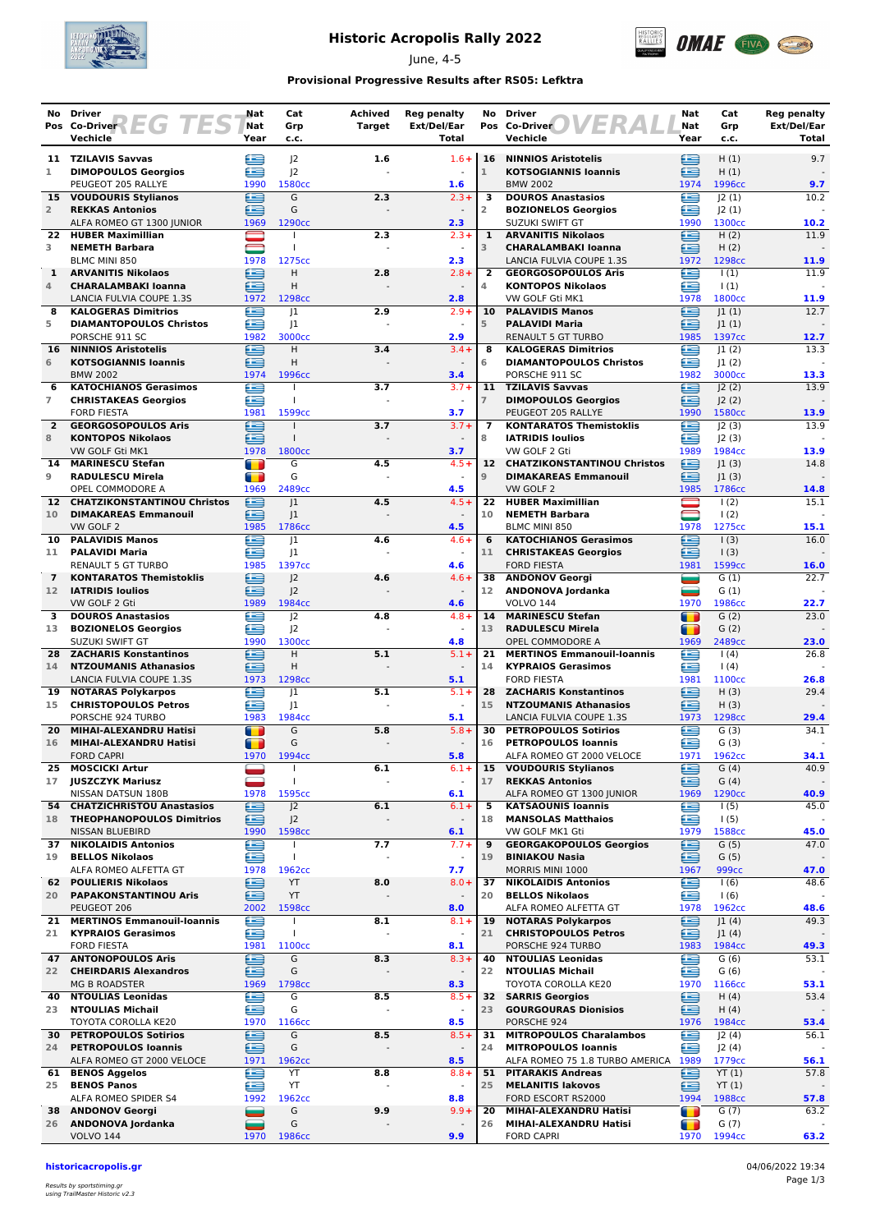

# **Historic Acropolis Rally 2022**

June, 4-5



### **Provisional Progressive Results after RS05: Lefktra**

| No.             | <b>Driver</b><br>Pos Co-Driver 2 EG TES                        | Nat<br>Nat                       | Cat<br>Grp                   | Achived<br><b>Target</b> | <b>Reg penalty</b><br>Ext/Del/Ear   | No                     | <b>Driver</b><br>ER<br>Pos Co-Driver                              | Nat<br>Nat                  | Cat<br>Grp                | <b>Reg penalty</b><br>Ext/Del/Ear |
|-----------------|----------------------------------------------------------------|----------------------------------|------------------------------|--------------------------|-------------------------------------|------------------------|-------------------------------------------------------------------|-----------------------------|---------------------------|-----------------------------------|
|                 | Vechicle                                                       | Year                             | c.c.                         |                          | <b>Total</b>                        |                        | Vechicle                                                          | Year                        | c.c.                      | Total                             |
|                 | 11 TZILAVIS Savvas                                             | ص                                | J <sup>2</sup>               | 1.6                      | $1.6 +$                             | 16                     | <b>NINNIOS Aristotelis</b>                                        | œ                           | H(1)                      | 9.7                               |
| 1               | <b>DIMOPOULOS Georgios</b>                                     | œ                                | 2                            |                          |                                     | $\mathbf{1}$           | <b>KOTSOGIANNIS Ioannis</b>                                       | £                           | H(1)                      |                                   |
|                 | PEUGEOT 205 RALLYE<br>15 VOUDOURIS Stylianos                   | 1990<br>≘                        | 1580cc<br>G                  | 2.3                      | 1.6<br>$2.3 +$                      | 3                      | <b>BMW 2002</b><br><b>DOUROS Anastasios</b>                       | 1974<br>Æ                   | 1996сс<br> 2(1)           | 9.7<br>10.2                       |
| $\overline{2}$  | <b>REKKAS Antonios</b>                                         | ∈                                | G                            |                          |                                     | $\overline{2}$         | <b>BOZIONELOS Georgios</b>                                        | ≘                           | 2(1)                      |                                   |
|                 | ALFA ROMEO GT 1300 JUNIOR                                      | 1969                             | 1290cc                       |                          | 2.3                                 |                        | SUZUKI SWIFT GT                                                   | 1990                        | 1300cc                    | 10.2                              |
| 22.             | <b>HUBER Maximillian</b>                                       |                                  |                              | 2.3                      | $2.3 +$                             | 1                      | <b>ARVANITIS Nikolaos</b>                                         | ≘                           | H(2)                      | 11.9                              |
| 3               | <b>NEMETH Barbara</b><br><b>BLMC MINI 850</b>                  | 1978                             | T<br>1275cc                  |                          | $\sim$<br>2.3                       | 3                      | <b>CHARALAMBAKI Ioanna</b><br>LANCIA FULVIA COUPE 1.3S            | ≘<br>1972                   | H(2)<br>1298cc            | 11.9                              |
| 1               | <b>ARVANITIS Nikolaos</b>                                      | €                                | H                            | 2.8                      | $2.8 +$                             | $\overline{2}$         | <b>GEORGOSOPOULOS Aris</b>                                        | ⊟                           | $\vert$ (1)               | 11.9                              |
| 4               | <b>CHARALAMBAKI Ioanna</b>                                     | £                                | Η                            |                          |                                     | 4                      | <b>KONTOPOS Nikolaos</b>                                          | œ                           | $\vert$ (1)               |                                   |
| 8               | LANCIA FULVIA COUPE 1.3S<br><b>KALOGERAS Dimitrios</b>         | 1972<br>£                        | 1298cc<br> 1                 | 2.9                      | 2.8<br>$2.9+$                       | 10                     | VW GOLF Gti MK1<br><b>PALAVIDIS Manos</b>                         | 1978<br>≘                   | 1800cc<br> 1(1)           | 11.9<br>12.7                      |
| 5               | <b>DIAMANTOPOULOS Christos</b>                                 | e                                | J1                           |                          |                                     | 5                      | <b>PALAVIDI Maria</b>                                             | ∈                           | 1(1)                      |                                   |
|                 | PORSCHE 911 SC                                                 | 1982                             | 3000cc                       |                          | 2.9                                 |                        | <b>RENAULT 5 GT TURBO</b>                                         | 1985                        | 1397cc                    | 12.7                              |
| 16<br>6         | <b>NINNIOS Aristotelis</b><br><b>KOTSOGIANNIS Ioannis</b>      | e<br>æ                           | H<br>Η                       | 3.4                      | $3.4 +$                             | 8<br>6                 | <b>KALOGERAS Dimitrios</b><br><b>DIAMANTOPOULOS Christos</b>      | £<br>œ                      | 1(2)                      | 13.3                              |
|                 | <b>BMW 2002</b>                                                | 1974                             | 1996cc                       |                          | 3.4                                 |                        | PORSCHE 911 SC                                                    | 1982                        | J1(2)<br>3000cc           | 13.3                              |
| 6               | <b>KATOCHIANOS Gerasimos</b>                                   | €                                |                              | 3.7                      | $3.7 +$                             | 11                     | <b>TZILAVIS Savvas</b>                                            | £                           | J2(2)                     | 13.9                              |
| $\overline{7}$  | <b>CHRISTAKEAS Georgios</b>                                    | æ                                | $\mathbf{I}$                 |                          |                                     | $\overline{7}$         | <b>DIMOPOULOS Georgios</b>                                        | œ                           | 2(2)                      |                                   |
| $\overline{2}$  | <b>FORD FIESTA</b><br><b>GEORGOSOPOULOS Aris</b>               | 1981<br>£                        | 1599cc<br>$\mathbf{I}$       | 3.7                      | 3.7<br>$3.7 +$                      | $\overline{7}$         | PEUGEOT 205 RALLYE<br><b>KONTARATOS Themistoklis</b>              | 1990<br>œ                   | 1580cc<br> 2(3)           | 13.9<br>13.9                      |
| 8               | <b>KONTOPOS Nikolaos</b>                                       | ∈                                | $\mathbf{I}$                 |                          |                                     | 8                      | <b>IATRIDIS Ioulios</b>                                           | œ                           | J2(3)                     |                                   |
|                 | VW GOLF Gti MK1                                                | 1978                             | 1800cc                       |                          | 3.7                                 |                        | VW GOLF 2 Gti                                                     | 1989                        | 1984cc                    | 13.9                              |
| 14<br>9         | <b>MARINESCU Stefan</b><br><b>RADULESCU Mirela</b>             | $\blacksquare$<br>$\blacksquare$ | G<br>G                       | 4.5                      | $4.5+$<br>$\sim$                    | $12 \overline{ }$<br>9 | <b>CHATZIKONSTANTINOU Christos</b><br><b>DIMAKAREAS Emmanouil</b> | œ<br>≘                      | 1(3) <br> 1(3)            | 14.8                              |
|                 | OPEL COMMODORE A                                               | 1969                             | 2489cc                       |                          | 4.5                                 |                        | VW GOLF 2                                                         | 1985                        | 1786cc                    | 14.8                              |
| 12 <sup>7</sup> | <b>CHATZIKONSTANTINOU Christos</b>                             | e                                | 1                            | 4.5                      | $4.5+$                              | 22                     | <b>HUBER Maximillian</b>                                          |                             | 1(2)                      | 15.1                              |
| 10              | <b>DIMAKAREAS Emmanouil</b>                                    | £                                | 1                            |                          |                                     | 10                     | <b>NEMETH Barbara</b>                                             | $\qquad \qquad \qquad \Box$ | $\frac{1(2)}{2}$          |                                   |
| 10              | VW GOLF 2<br><b>PALAVIDIS Manos</b>                            | 1985<br>Œ                        | 1786cc<br> 1                 | 4.6                      | 4.5<br>$4.6 +$                      | 6                      | BLMC MINI 850<br><b>KATOCHIANOS Gerasimos</b>                     | 1978<br>Œ                   | 1275cc<br>1(3)            | 15.1<br>16.0                      |
| 11              | <b>PALAVIDI Maria</b>                                          | ≘                                | 1                            |                          |                                     | 11                     | <b>CHRISTAKEAS Georgios</b>                                       | ≘                           | $\vert$ (3)               |                                   |
|                 | <b>RENAULT 5 GT TURBO</b>                                      | 1985                             | 1397cc                       |                          | 4.6                                 |                        | <b>FORD FIESTA</b>                                                | 1981                        | 1599cc                    | 16.0                              |
| $\overline{7}$  | <b>KONTARATOS Themistoklis</b>                                 | ≘                                | J <sub>2</sub>               | 4.6                      | $4.6 +$                             | 38                     | <b>ANDONOV Georgi</b>                                             | ═                           | G(1)                      | 22.7                              |
| 12              | <b>IATRIDIS Ioulios</b><br>VW GOLF 2 Gti                       | ≘<br>1989                        | 2<br>1984cc                  |                          | $\blacksquare$<br>4.6               | 12                     | ANDONOVA Jordanka<br><b>VOLVO 144</b>                             | ▄<br>1970                   | G(1)<br>1986cc            | 22.7                              |
| 3               | <b>DOUROS Anastasios</b>                                       | œ                                | J <sub>2</sub>               | 4.8                      | $4.8 +$                             | 14                     | <b>MARINESCU Stefan</b>                                           | $\blacksquare$              | G(2)                      | 23.0                              |
| 13              | <b>BOZIONELOS Georgios</b>                                     | æ                                | J <sub>2</sub>               |                          |                                     | 13                     | <b>RADULESCU Mirela</b>                                           | Œ                           | G(2)                      |                                   |
| 28              | SUZUKI SWIFT GT<br><b>ZACHARIS Konstantinos</b>                | 1990<br>≘                        | 1300cc<br>H                  | 5.1                      | 4.8<br>$5.1 +$                      |                        | OPEL COMMODORE A<br>21 MERTINOS Emmanouil-Ioannis                 | 1969<br>œ                   | 2489cc<br>1(4)            | 23.0<br>26.8                      |
| 14              | <b>NTZOUMANIS Athanasios</b>                                   | £                                | Н                            |                          |                                     | 14                     | <b>KYPRAIOS Gerasimos</b>                                         | œ                           | (4)                       |                                   |
|                 | LANCIA FULVIA COUPE 1.3S                                       | 1973                             | 1298cc                       |                          | 5.1                                 |                        | <b>FORD FIESTA</b>                                                | 1981                        | 1100cc                    | 26.8                              |
| 19              | <b>NOTARAS Polykarpos</b><br>15 CHRISTOPOULOS Petros           | £<br>∈                           | 1<br>J1                      | 5.1                      | $5.1 +$<br>$\blacksquare$           | 28<br>15               | <b>ZACHARIS Konstantinos</b><br><b>NTZOUMANIS Athanasios</b>      | œ<br>≘                      | H(3)<br>H(3)              | 29.4                              |
|                 | PORSCHE 924 TURBO                                              | 1983                             | 1984cc                       |                          | 5.1                                 |                        | LANCIA FULVIA COUPE 1.3S                                          | 1973                        | 1298cc                    | 29.4                              |
| 20              | MIHAI-ALEXANDRU Hatisi                                         | т                                | G                            | 5.8                      | $5.8+$                              | 30                     | <b>PETROPOULOS Sotirios</b>                                       | £                           | G(3)                      | 34.1                              |
| 16              | <b>MIHAI-ALEXANDRU Hatisi</b>                                  | 67                               | G                            |                          |                                     | 16                     | <b>PETROPOULOS Ioannis</b>                                        | ≘                           | G(3)                      |                                   |
| 25              | <b>FORD CAPRI</b><br><b>MOSCICKI Artur</b>                     | 1970                             | 1994cc<br>$\mathbf{I}$       | 6.1                      | 5.8<br>$6.1 +$                      | 15                     | ALFA ROMEO GT 2000 VELOCE<br><b>VOUDOURIS Stylianos</b>           | 1971<br>≘                   | 1962cc<br>G(4)            | 34.1<br>40.9                      |
| 17              | <b>JUSZCZYK Mariusz</b>                                        |                                  | T                            |                          | $\blacksquare$                      | 17                     | <b>REKKAS Antonios</b>                                            | ≘                           | G(4)                      |                                   |
|                 | NISSAN DATSUN 180B                                             | 1978                             | 1595cc                       |                          | 6.1                                 |                        | ALFA ROMEO GT 1300 JUNIOR                                         | 1969                        | 1290cc                    | 40.9                              |
|                 | 54 CHATZICHRISTOU Anastasios<br>18 THEOPHANOPOULOS Dimitrios   | ∈<br>∈                           | J <sub>2</sub>               | 6.1<br>$\overline{a}$    | $6.1 +$<br>$\overline{\phantom{a}}$ | 5<br>18                | <b>KATSAOUNIS Ioannis</b><br><b>MANSOLAS Matthaios</b>            | œ<br>£                      | 1(5)                      | 45.0                              |
|                 | <b>NISSAN BLUEBIRD</b>                                         | 1990                             | J <sup>2</sup><br>1598cc     |                          | 6.1                                 |                        | VW GOLF MK1 Gti                                                   | 1979                        | 1(5)<br>1588cc            | 45.0                              |
| 37              | <b>NIKOLAIDIS Antonios</b>                                     | e                                |                              | 7.7                      | $7.7+$                              | 9                      | <b>GEORGAKOPOULOS Georgios</b>                                    | €                           | G(5)                      | 47.0                              |
| 19              | <b>BELLOS Nikolaos</b>                                         | œ                                | $\mathbf{I}$                 |                          |                                     | 19                     | <b>BINIAKOU Nasia</b>                                             | ≘                           | G(5)                      |                                   |
| 62              | ALFA ROMEO ALFETTA GT<br><b>POULIERIS Nikolaos</b>             | 1978<br>∈                        | 1962cc<br>YT                 | 8.0                      | 7.7<br>$8.0 +$                      | 37                     | MORRIS MINI 1000<br><b>NIKOLAIDIS Antonios</b>                    | 1967<br>£                   | 999 <sub>cc</sub><br>1(6) | 47.0<br>48.6                      |
| 20              | <b>PAPAKONSTANTINOU Aris</b>                                   | ≘                                | YT                           |                          |                                     | 20                     | <b>BELLOS Nikolaos</b>                                            | œ                           | 1(6)                      |                                   |
|                 | PEUGEOT 206                                                    | 2002                             | 1598cc                       |                          | 8.0                                 |                        | ALFA ROMEO ALFETTA GT                                             | 1978                        | 1962cc                    | 48.6                              |
| 21.<br>21       | <b>MERTINOS Emmanouil-Ioannis</b><br><b>KYPRAIOS Gerasimos</b> | €<br>≘                           | $\mathbf{I}$<br>$\mathbf{I}$ | 8.1                      | $8.1 +$<br>$\blacksquare$           | 19<br>21               | <b>NOTARAS Polykarpos</b><br><b>CHRISTOPOULOS Petros</b>          | ≘<br>≘                      | 1(4) <br> 1(4)            | 49.3                              |
|                 | <b>FORD FIESTA</b>                                             | 1981                             | 1100cc                       |                          | 8.1                                 |                        | PORSCHE 924 TURBO                                                 | 1983                        | 1984cc                    | 49.3                              |
|                 | <b>47 ANTONOPOULOS Aris</b>                                    | €                                | G                            | 8.3                      | $8.3 +$                             | 40                     | <b>NTOULIAS Leonidas</b>                                          | œ                           | G(6)                      | 53.1                              |
| 22              | <b>CHEIRDARIS Alexandros</b>                                   | ⊟                                | G                            |                          |                                     | 22                     | <b>NTOULIAS Michail</b>                                           | £                           | G(6)                      |                                   |
| 40              | <b>MG B ROADSTER</b><br><b>NTOULIAS Leonidas</b>               | 1969<br>£                        | 1798cc<br>G                  | 8.5                      | 8.3<br>$8.5+$                       |                        | TOYOTA COROLLA KE20<br><b>32 SARRIS Georgios</b>                  | 1970<br>≘                   | 1166cc<br>H(4)            | 53.1<br>53.4                      |
| 23              | <b>NTOULIAS Michail</b>                                        | è                                | G                            | $\blacksquare$           |                                     | 23                     | <b>GOURGOURAS Dionisios</b>                                       | ≘                           | H(4)                      |                                   |
|                 | TOYOTA COROLLA KE20                                            | 1970                             | 1166cc                       |                          | 8.5                                 |                        | PORSCHE 924                                                       | 1976                        | 1984cc                    | 53.4                              |
| 30.<br>24       | <b>PETROPOULOS Sotirios</b><br><b>PETROPOULOS Ioannis</b>      | e<br>£                           | G<br>G                       | 8.5                      | $8.5+$<br>$\blacksquare$            | 31<br>24               | <b>MITROPOULOS Charalambos</b><br><b>MITROPOULOS Ioannis</b>      | ≘<br>œ                      | J2(4)<br>J2(4)            | 56.1<br>$\overline{\phantom{a}}$  |
|                 | ALFA ROMEO GT 2000 VELOCE                                      | 1971                             | 1962 <sub>cc</sub>           |                          | 8.5                                 |                        | ALFA ROMEO 75 1.8 TURBO AMERICA 1989                              |                             | 1779cc                    | 56.1                              |
|                 | 61 BENOS Aggelos                                               | ⊜                                | YT                           | 8.8                      | $8.8 +$                             | 51                     | <b>PITARAKIS Andreas</b>                                          | ⊜                           | YT(1)                     | 57.8                              |
| 25              | <b>BENOS Panos</b>                                             | ∈                                | YT                           |                          |                                     | 25                     | <b>MELANITIS lakovos</b>                                          | ≘                           | YT(1)                     |                                   |
| 38              | ALFA ROMEO SPIDER S4<br><b>ANDONOV Georgi</b>                  | 1992<br>e e                      | 1962 <sub>cc</sub><br>G      | 9.9                      | 8.8<br>$9.9 +$                      | 20                     | FORD ESCORT RS2000<br>MIHAI-ALEXANDRU Hatisi                      | 1994<br>т                   | 1988cc<br>G(7)            | 57.8<br>63.2                      |
|                 | 26 ANDONOVA Jordanka                                           | ب                                | G                            |                          |                                     | 26                     | MIHAI-ALEXANDRU Hatisi                                            | T                           | G(7)                      |                                   |
|                 | <b>VOLVO 144</b>                                               | 1970                             | 1986cc                       |                          | 9.9                                 |                        | <b>FORD CAPRI</b>                                                 | 1970                        | 1994 <sub>cc</sub>        | 63.2                              |

**historicacropolis.gr** 04/06/2022 19:34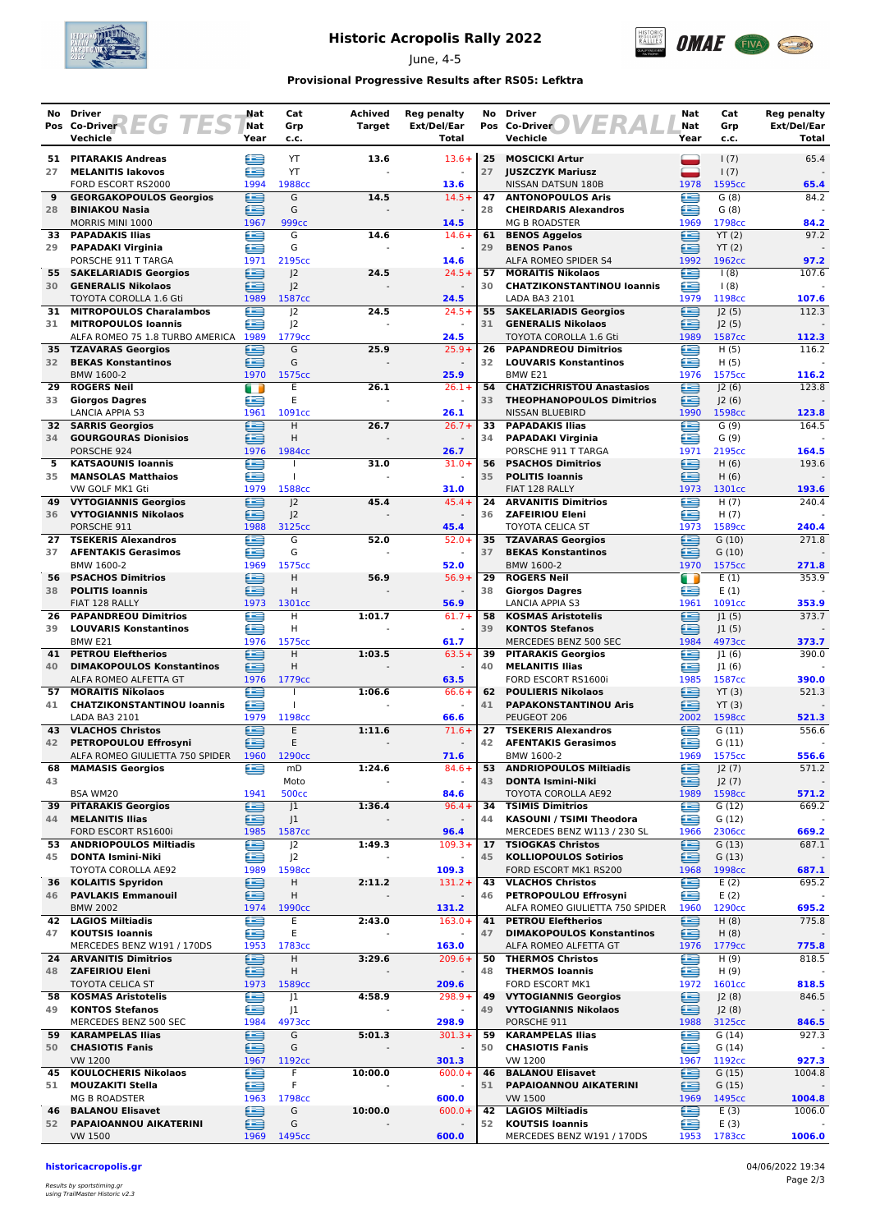

## **Historic Acropolis Rally 2022**

June, 4-5



### **Provisional Progressive Results after RS05: Lefktra**

| No.       | <b>Driver</b>                                                    | Nat         | Cat                              | Achived                            | <b>Reg penalty</b>                   | No       | <b>Driver</b>                                                 | Nat         | Cat             | Reg penalty          |
|-----------|------------------------------------------------------------------|-------------|----------------------------------|------------------------------------|--------------------------------------|----------|---------------------------------------------------------------|-------------|-----------------|----------------------|
|           | Pos Co-Driver<br>EG<br>Vechicle                                  | Nat<br>Year | Grp<br>c.c.                      | Target                             | Ext/Del/Ear<br><b>Total</b>          |          | Pos Co-Driver<br>Vechicle                                     | Nat<br>Year | Grp<br>c.c.     | Ext/Del/Ear<br>Total |
| 51        | <b>PITARAKIS Andreas</b>                                         | œ           | YT                               | 13.6                               | $13.6 +$                             | 25       | <b>MOSCICKI Artur</b>                                         | ▀           | 1(7)            | 65.4                 |
| 27        | <b>MELANITIS lakovos</b>                                         | Æ           | YT                               |                                    |                                      | 27       | <b>JUSZCZYK Mariusz</b>                                       | -           | 1(7)            |                      |
|           | FORD ESCORT RS2000                                               | 1994        | 1988cc                           |                                    | 13.6                                 |          | NISSAN DATSUN 180B                                            | 1978        | 1595cc          | 65.4                 |
| 9         | <b>GEORGAKOPOULOS Georgios</b>                                   | £           | G                                | 14.5                               | $14.5+$                              | 47       | <b>ANTONOPOULOS Aris</b>                                      | ≘           | G(8)            | 84.2                 |
| 28        | <b>BINIAKOU Nasia</b><br>MORRIS MINI 1000                        | ≘<br>1967   | G<br>999 <sub>cc</sub>           |                                    | 14.5                                 | 28       | <b>CHEIRDARIS Alexandros</b><br><b>MG B ROADSTER</b>          | œ<br>1969   | G(8)<br>1798cc  | 84.2                 |
| 33        | <b>PAPADAKIS Ilias</b>                                           | £           | G                                | 14.6                               | $14.6+$                              | 61       | <b>BENOS Aggelos</b>                                          | œ           | YT(2)           | 97.2                 |
| 29        | <b>PAPADAKI Virginia</b>                                         | £           | G                                |                                    | $\omega$                             | 29       | <b>BENOS Panos</b>                                            | œ           | YT(2)           |                      |
|           | PORSCHE 911 T TARGA                                              | 1971        | 2195cc                           |                                    | 14.6                                 |          | ALFA ROMEO SPIDER S4                                          | 1992        | 1962cc          | 97.2                 |
| 30        | 55 SAKELARIADIS Georgios<br><b>GENERALIS Nikolaos</b>            | e<br>£      | J <sub>2</sub><br>J <sub>2</sub> | 24.5                               | $24.5+$                              | 57<br>30 | <b>MORAITIS Nikolaos</b><br><b>CHATZIKONSTANTINOU loannis</b> | œ<br>£      | 1(8)<br>1(8)    | 107.6                |
|           | <b>TOYOTA COROLLA 1.6 Gti</b>                                    | 1989        | 1587cc                           |                                    | 24.5                                 |          | LADA BA3 2101                                                 | 1979        | 1198cc          | 107.6                |
| 31        | <b>MITROPOULOS Charalambos</b>                                   | £           | 2                                | 24.5                               | $24.5+$                              | 55       | <b>SAKELARIADIS Georgios</b>                                  | Ð           | J2(5)           | 112.3                |
| 31        | <b>MITROPOULOS Ioannis</b>                                       | Æ           | J <sub>2</sub>                   |                                    |                                      | 31       | <b>GENERALIS Nikolaos</b>                                     | œ           | J2(5)           |                      |
| 35        | ALFA ROMEO 75 1.8 TURBO AMERICA 1989<br><b>TZAVARAS Georgios</b> | æ           | 1779cc<br>G                      | 25.9                               | 24.5<br>$25.9+$                      | 26       | TOYOTA COROLLA 1.6 Gti<br><b>PAPANDREOU Dimitrios</b>         | 1989<br>œ   | 1587cc<br>H(5)  | 112.3<br>116.2       |
| 32        | <b>BEKAS Konstantinos</b>                                        | £           | G                                |                                    | $\sim$                               | 32       | <b>LOUVARIS Konstantinos</b>                                  | £           | H(5)            |                      |
|           | BMW 1600-2                                                       | 1970        | 1575cc                           |                                    | 25.9                                 |          | BMW <sub>E21</sub>                                            | 1976        | 1575cc          | 116.2                |
| 29        | <b>ROGERS Neil</b>                                               | m           | E                                | 26.1                               | $26.1+$                              | 54       | <b>CHATZICHRISTOU Anastasios</b>                              | ≘           | 2(6)            | 123.8                |
| 33        | <b>Giorgos Dagres</b><br><b>LANCIA APPIA S3</b>                  | ≘<br>1961   | E<br>1091cc                      |                                    | 26.1                                 | 33       | <b>THEOPHANOPOULOS Dimitrios</b><br>NISSAN BLUEBIRD           | œ<br>1990   | J2(6)<br>1598cc | 123.8                |
|           | <b>32 SARRIS Georgios</b>                                        | £           | Н                                | 26.7                               | $26.7 +$                             | 33       | <b>PAPADAKIS Ilias</b>                                        | œ           | G(9)            | 164.5                |
| 34        | <b>GOURGOURAS Dionisios</b>                                      | æ           | н                                |                                    |                                      | 34       | <b>PAPADAKI Virginia</b>                                      | œ           | G(9)            |                      |
|           | PORSCHE 924                                                      | 1976        | 1984cc                           |                                    | 26.7                                 |          | PORSCHE 911 T TARGA                                           | 1971        | 2195cc          | 164.5                |
| 5<br>35   | <b>KATSAOUNIS Ioannis</b><br><b>MANSOLAS Matthaios</b>           | œ<br>≘      | T<br>T                           | 31.0                               | $31.0+$<br>$\omega$                  | 56<br>35 | <b>PSACHOS Dimitrios</b><br><b>POLITIS Ioannis</b>            | 臼<br>≘      | H(6)<br>H(6)    | 193.6                |
|           | VW GOLF MK1 Gti                                                  | 1979        | 1588cc                           |                                    | 31.0                                 |          | FIAT 128 RALLY                                                | 1973        | 1301cc          | 193.6                |
|           | <b>49 VYTOGIANNIS Georgios</b>                                   | £           | J <sup>2</sup>                   | 45.4                               | $45.4 +$                             | 24       | <b>ARVANITIS Dimitrios</b>                                    | œ           | H(7)            | 240.4                |
| 36        | <b>VYTOGIANNIS Nikolaos</b>                                      | £           | J <sub>2</sub>                   |                                    |                                      | 36       | <b>ZAFEIRIOU Eleni</b>                                        | £           | H(7)            |                      |
|           | PORSCHE 911                                                      | 1988        | 3125cc                           |                                    | 45.4                                 |          | <b>TOYOTA CELICA ST</b>                                       | 1973        | 1589cc          | 240.4                |
| 27<br>37  | <b>TSEKERIS Alexandros</b><br><b>AFENTAKIS Gerasimos</b>         | £<br>£      | G<br>G                           | 52.0                               | $52.0+$                              | 35<br>37 | <b>TZAVARAS Georgios</b><br><b>BEKAS Konstantinos</b>         | œ<br>≘      | G(10)<br>G(10)  | 271.8                |
|           | BMW 1600-2                                                       | 1969        | 1575cc                           |                                    | 52.0                                 |          | BMW 1600-2                                                    | 1970        | 1575cc          | 271.8                |
| 56        | <b>PSACHOS Dimitrios</b>                                         | ∈           | H                                | 56.9                               | $56.9+$                              | 29       | <b>ROGERS Neil</b>                                            | m           | E(1)            | 353.9                |
| 38        | <b>POLITIS Ioannis</b>                                           | æ           | Н                                |                                    |                                      | 38       | <b>Giorgos Dagres</b>                                         | œ           | E(1)            |                      |
| 26        | FIAT 128 RALLY<br><b>PAPANDREOU Dimitrios</b>                    | 1973<br>œ   | 1301cc<br>H                      | 1:01.7                             | 56.9<br>$61.7+$                      | 58       | <b>LANCIA APPIA S3</b><br><b>KOSMAS Aristotelis</b>           | 1961<br>œ   | 1091cc<br> 1(5) | 353.9<br>373.7       |
| 39        | <b>LOUVARIS Konstantinos</b>                                     | £           | н                                |                                    |                                      | 39       | <b>KONTOS Stefanos</b>                                        | ≘           | J1(5)           |                      |
|           | BMW <sub>E21</sub>                                               | 1976        | 1575cc                           |                                    | 61.7                                 |          | MERCEDES BENZ 500 SEC                                         | 1984        | 4973cc          | 373.7                |
| 41        | <b>PETROU Eleftherios</b>                                        | £           | Н                                | 1:03.5                             | $63.5+$                              | 39       | <b>PITARAKIS Georgios</b>                                     | œ           | 1(6)            | 390.0                |
| 40        | <b>DIMAKOPOULOS Konstantinos</b><br>ALFA ROMEO ALFETTA GT        | £<br>1976   | H<br>1779 <sub>cc</sub>          |                                    | $\sim$<br>63.5                       | 40       | <b>MELANITIS Ilias</b><br>FORD ESCORT RS1600i                 | £<br>1985   | 1(6) <br>1587cc | 390.0                |
| 57        | <b>MORAITIS Nikolaos</b>                                         | œ           | T                                | 1:06.6                             | $66.6+$                              | 62       | <b>POULIERIS Nikolaos</b>                                     | ⊟           | YT(3)           | 521.3                |
| 41        | <b>CHATZIKONSTANTINOU loannis</b>                                | £           | T                                |                                    | $\blacksquare$                       | 41       | <b>PAPAKONSTANTINOU Aris</b>                                  | œ           | YT(3)           |                      |
|           | LADA BA3 2101                                                    | 1979        | 1198cc                           |                                    | 66.6                                 |          | PEUGEOT 206                                                   | 2002        | 1598cc          | 521.3                |
| 43<br>42  | <b>VLACHOS Christos</b><br>PETROPOULOU Effrosyni                 | e<br>Æ      | Ε<br>E                           | 1:11.6                             | $71.6+$                              | 27<br>42 | <b>TSEKERIS Alexandros</b><br><b>AFENTAKIS Gerasimos</b>      | £<br>£      | G(11)<br>G(11)  | 556.6                |
|           | ALFA ROMEO GIULIETTA 750 SPIDER                                  | 1960        | 1290 <sub>cc</sub>               |                                    | 71.6                                 |          | BMW 1600-2                                                    | 1969        | 1575cc          | 556.6                |
| 68        | <b>MAMASIS Georgios</b>                                          | e           | mD                               | 1:24.6                             | $84.6+$                              | 53       | <b>ANDRIOPOULOS Miltiadis</b>                                 | ⊜           | J2(7)           | 571.2                |
| 43        |                                                                  |             | Moto                             |                                    | $\omega$                             | 43       | <b>DONTA Ismini-Niki</b>                                      | ≘           | J2(7)           |                      |
| 39        | BSA WM20<br><b>PITARAKIS Georgios</b>                            | 1941<br>∈   | <b>500cc</b>                     |                                    | 84.6<br>$96.4+$                      | 34       | TOYOTA COROLLA AE92<br><b>TSIMIS Dimitrios</b>                | 1989<br>e   | 1598cc          | 571.2<br>669.2       |
| 44        | <b>MELANITIS Ilias</b>                                           | ≘           | J <sub>1</sub><br>$\vert$ 1      | 1:36.4                             |                                      | 44       | KASOUNI / TSIMI Theodora                                      | œ           | G(12)<br>G(12)  |                      |
|           | FORD ESCORT RS1600i                                              | 1985        | 1587cc                           |                                    | 96.4                                 |          | MERCEDES BENZ W113 / 230 SL                                   | 1966        | 2306cc          | 669.2                |
| 53        | <b>ANDRIOPOULOS Miltiadis</b>                                    | ⋐           | J <sup>2</sup>                   | 1:49.3                             | $109.3+$                             | 17       | <b>TSIOGKAS Christos</b>                                      | ≘           | G(13)           | 687.1                |
| 45        | <b>DONTA Ismini-Niki</b><br>TOYOTA COROLLA AE92                  | œ<br>1989   | J <sup>2</sup><br>1598cc         |                                    | $\overline{\phantom{a}}$<br>109.3    | 45       | <b>KOLLIOPOULOS Sotirios</b><br>FORD ESCORT MK1 RS200         | ≘<br>1968   | G(13)<br>1998cc |                      |
| 36        | <b>KOLAITIS Spyridon</b>                                         | £           | н                                | 2:11.2                             | $131.2 +$                            | 43       | <b>VLACHOS Christos</b>                                       | £           | E(2)            | 687.1<br>695.2       |
| 46        | <b>PAVLAKIS Emmanouil</b>                                        | £           | Н                                |                                    | $\blacksquare$                       | 46       | PETROPOULOU Effrosyni                                         | £           | E(2)            |                      |
|           | <b>BMW 2002</b>                                                  | 1974        | 1990 <sub>cc</sub>               |                                    | 131.2                                |          | ALFA ROMEO GIULIETTA 750 SPIDER                               | 1960        | 1290cc          | 695.2                |
|           | 42 LAGIOS Miltiadis                                              | £<br>€      | Ε<br>E                           | 2:43.0                             | $163.0+$                             | 41       | <b>PETROU Eleftherios</b><br><b>DIMAKOPOULOS Konstantinos</b> | ≘<br>ఆ      | H(8)            | 775.8                |
| 47        | <b>KOUTSIS Ioannis</b><br>MERCEDES BENZ W191 / 170DS             | 1953        | 1783cc                           |                                    | 163.0                                | 47       | ALFA ROMEO ALFETTA GT                                         | 1976        | H(8)<br>1779cc  | 775.8                |
|           | 24 ARVANITIS Dimitrios                                           | G           | н                                | 3:29.6                             | $209.6+$                             | 50       | <b>THERMOS Christos</b>                                       | €           | H(9)            | 818.5                |
| 48        | <b>ZAFEIRIOU Eleni</b>                                           | £           | н                                |                                    |                                      | 48       | <b>THERMOS loannis</b>                                        | œ           | H(9)            |                      |
|           | TOYOTA CELICA ST                                                 | 1973        | 1589cc                           |                                    | 209.6                                |          | FORD ESCORT MK1                                               | 1972        | 1601cc          | 818.5                |
| 58.<br>49 | <b>KOSMAS Aristotelis</b><br><b>KONTOS Stefanos</b>              | €<br>≘      | J1<br>J1                         | 4:58.9<br>$\overline{\phantom{a}}$ | $298.9+$<br>$\overline{\phantom{a}}$ | 49<br>49 | <b>VYTOGIANNIS Georgios</b><br><b>VYTOGIANNIS Nikolaos</b>    | 鱼<br>≘      | J2(8)<br>J2(8)  | 846.5                |
|           | MERCEDES BENZ 500 SEC                                            | 1984        | 4973cc                           |                                    | 298.9                                |          | PORSCHE 911                                                   | 1988        | 3125cc          | 846.5                |
| 59        | <b>KARAMPELAS Ilias</b>                                          | £           | G                                | 5:01.3                             | $301.3+$                             | 59       | <b>KARAMPELAS Ilias</b>                                       | £           | G(14)           | 927.3                |
| 50        | <b>CHASIOTIS Fanis</b>                                           | ∈           | G                                |                                    | $\overline{\phantom{a}}$             | 50       | <b>CHASIOTIS Fanis</b>                                        | œ           | G(14)           |                      |
|           | <b>VW 1200</b><br>45 KOULOCHERIS Nikolaos                        | 1967<br>œ   | 1192cc<br>F                      | 10:00.0                            | 301.3<br>$600.0+$                    | 46       | VW 1200<br><b>BALANOU Elisavet</b>                            | 1967<br>⊜   | 1192cc<br>G(15) | 927.3<br>1004.8      |
| 51        | <b>MOUZAKITI Stella</b>                                          | ≘           | F                                |                                    | $\blacksquare$                       | 51       | PAPAIOANNOU AIKATERINI                                        | £           | G(15)           |                      |
|           | MG B ROADSTER                                                    | 1963        | 1798cc                           |                                    | 600.0                                |          | <b>VW 1500</b>                                                | 1969        | 1495cc          | 1004.8               |
| 46        | <b>BALANOU Elisavet</b>                                          | €           | G                                | 10:00.0                            | $600.0+$                             | 42       | <b>LAGIOS Miltiadis</b>                                       | €           | E(3)            | 1006.0               |
| 52        | PAPAIOANNOU AIKATERINI<br>VW 1500                                | 鱼<br>1969   | G<br>1495cc                      |                                    | 600.0                                | 52       | <b>KOUTSIS Ioannis</b><br>MERCEDES BENZ W191 / 170DS          | œ<br>1953   | E(3)<br>1783cc  | 1006.0               |
|           |                                                                  |             |                                  |                                    |                                      |          |                                                               |             |                 |                      |

#### **historicacropolis.gr** 04/06/2022 19:34

Results by sportstiming.gr using TrailMaster Historic v2.3